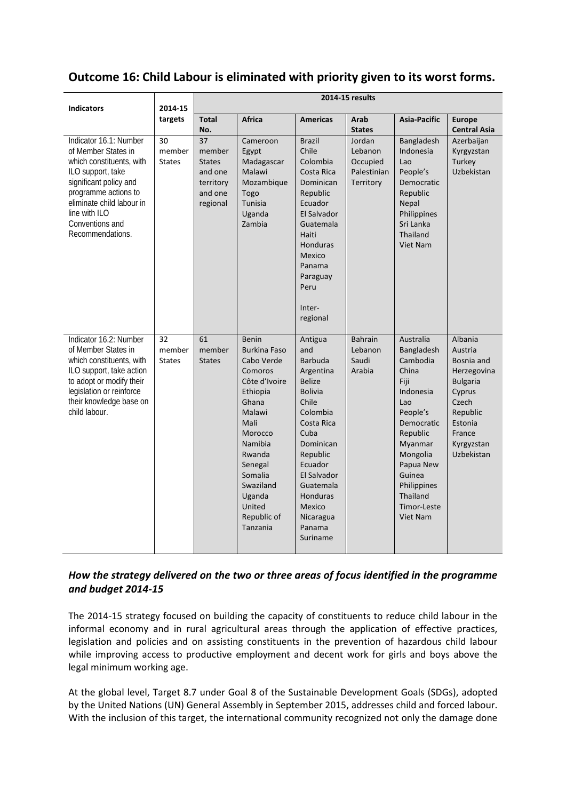# **Outcome 16: Child Labour is eliminated with priority given to its worst forms.**

| <b>Indicators</b>                                                                                                                                                                                                                     | 2014-15<br>targets            | 2014-15 results                                                                           |                                                                                                                                                                                                                                        |                                                                                                                                                                                                                                                             |                                                           |                                                                                                                                                                                                                           |                                                                                                                                                    |
|---------------------------------------------------------------------------------------------------------------------------------------------------------------------------------------------------------------------------------------|-------------------------------|-------------------------------------------------------------------------------------------|----------------------------------------------------------------------------------------------------------------------------------------------------------------------------------------------------------------------------------------|-------------------------------------------------------------------------------------------------------------------------------------------------------------------------------------------------------------------------------------------------------------|-----------------------------------------------------------|---------------------------------------------------------------------------------------------------------------------------------------------------------------------------------------------------------------------------|----------------------------------------------------------------------------------------------------------------------------------------------------|
|                                                                                                                                                                                                                                       |                               | <b>Total</b><br>No.                                                                       | <b>Africa</b>                                                                                                                                                                                                                          | <b>Americas</b>                                                                                                                                                                                                                                             | Arab<br><b>States</b>                                     | Asia-Pacific                                                                                                                                                                                                              | <b>Europe</b><br><b>Central Asia</b>                                                                                                               |
| Indicator 16.1: Number<br>of Member States in<br>which constituents, with<br>ILO support, take<br>significant policy and<br>programme actions to<br>eliminate child labour in<br>line with ILO<br>Conventions and<br>Recommendations. | 30<br>member<br><b>States</b> | $\overline{37}$<br>member<br><b>States</b><br>and one<br>territory<br>and one<br>regional | Cameroon<br>Egypt<br>Madagascar<br>Malawi<br>Mozambique<br>Togo<br>Tunisia<br>Uganda<br>Zambia                                                                                                                                         | <b>Brazil</b><br>Chile<br>Colombia<br>Costa Rica<br>Dominican<br>Republic<br>Ecuador<br>El Salvador<br>Guatemala<br>Haiti<br>Honduras<br>Mexico<br>Panama<br>Paraguay<br>Peru<br>Inter-<br>regional                                                         | Jordan<br>Lebanon<br>Occupied<br>Palestinian<br>Territory | Bangladesh<br>Indonesia<br>Lao<br>People's<br>Democratic<br>Republic<br>Nepal<br>Philippines<br>Sri Lanka<br>Thailand<br><b>Viet Nam</b>                                                                                  | Azerbaijan<br>Kyrgyzstan<br>Turkey<br>Uzbekistan                                                                                                   |
| Indicator 16.2: Number<br>of Member States in<br>which constituents, with<br>ILO support, take action<br>to adopt or modify their<br>legislation or reinforce<br>their knowledge base on<br>child labour.                             | 32<br>member<br><b>States</b> | 61<br>member<br><b>States</b>                                                             | <b>Benin</b><br><b>Burkina Faso</b><br>Cabo Verde<br>Comoros<br>Côte d'Ivoire<br>Ethiopia<br>Ghana<br>Malawi<br>Mali<br>Morocco<br>Namibia<br>Rwanda<br>Senegal<br>Somalia<br>Swaziland<br>Uganda<br>United<br>Republic of<br>Tanzania | Antigua<br>and<br><b>Barbuda</b><br>Argentina<br><b>Belize</b><br><b>Bolivia</b><br>Chile<br>Colombia<br>Costa Rica<br>Cuba<br>Dominican<br>Republic<br>Ecuador<br>El Salvador<br>Guatemala<br><b>Honduras</b><br>Mexico<br>Nicaragua<br>Panama<br>Suriname | <b>Bahrain</b><br>Lebanon<br>Saudi<br>Arabia              | Australia<br>Bangladesh<br>Cambodia<br>China<br>Fiji<br>Indonesia<br>Lao<br>People's<br>Democratic<br>Republic<br>Myanmar<br>Mongolia<br>Papua New<br>Guinea<br>Philippines<br>Thailand<br>Timor-Leste<br><b>Viet Nam</b> | Albania<br>Austria<br>Bosnia and<br>Herzegovina<br><b>Bulgaria</b><br>Cyprus<br>Czech<br>Republic<br>Estonia<br>France<br>Kyrgyzstan<br>Uzbekistan |

## *How the strategy delivered on the two or three areas of focus identified in the programme and budget 2014-15*

The 2014-15 strategy focused on building the capacity of constituents to reduce child labour in the informal economy and in rural agricultural areas through the application of effective practices, legislation and policies and on assisting constituents in the prevention of hazardous child labour while improving access to productive employment and decent work for girls and boys above the legal minimum working age.

At the global level, Target 8.7 under Goal 8 of the Sustainable Development Goals (SDGs), adopted by the United Nations (UN) General Assembly in September 2015, addresses child and forced labour. With the inclusion of this target, the international community recognized not only the damage done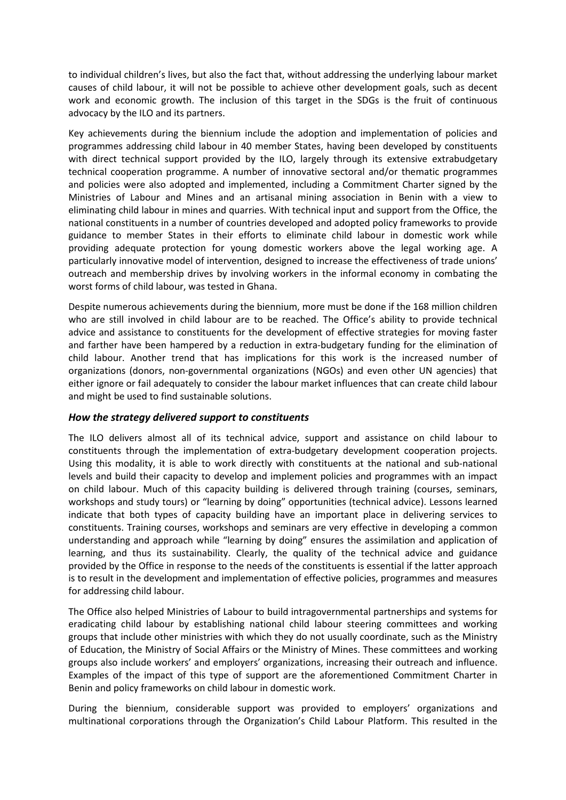to individual children's lives, but also the fact that, without addressing the underlying labour market causes of child labour, it will not be possible to achieve other development goals, such as decent work and economic growth. The inclusion of this target in the SDGs is the fruit of continuous advocacy by the ILO and its partners.

Key achievements during the biennium include the adoption and implementation of policies and programmes addressing child labour in 40 member States, having been developed by constituents with direct technical support provided by the ILO, largely through its extensive extrabudgetary technical cooperation programme. A number of innovative sectoral and/or thematic programmes and policies were also adopted and implemented, including a Commitment Charter signed by the Ministries of Labour and Mines and an artisanal mining association in Benin with a view to eliminating child labour in mines and quarries. With technical input and support from the Office, the national constituents in a number of countries developed and adopted policy frameworks to provide guidance to member States in their efforts to eliminate child labour in domestic work while providing adequate protection for young domestic workers above the legal working age. A particularly innovative model of intervention, designed to increase the effectiveness of trade unions' outreach and membership drives by involving workers in the informal economy in combating the worst forms of child labour, was tested in Ghana.

Despite numerous achievements during the biennium, more must be done if the 168 million children who are still involved in child labour are to be reached. The Office's ability to provide technical advice and assistance to constituents for the development of effective strategies for moving faster and farther have been hampered by a reduction in extra-budgetary funding for the elimination of child labour. Another trend that has implications for this work is the increased number of organizations (donors, non-governmental organizations (NGOs) and even other UN agencies) that either ignore or fail adequately to consider the labour market influences that can create child labour and might be used to find sustainable solutions.

### *How the strategy delivered support to constituents*

The ILO delivers almost all of its technical advice, support and assistance on child labour to constituents through the implementation of extra-budgetary development cooperation projects. Using this modality, it is able to work directly with constituents at the national and sub-national levels and build their capacity to develop and implement policies and programmes with an impact on child labour. Much of this capacity building is delivered through training (courses, seminars, workshops and study tours) or "learning by doing" opportunities (technical advice). Lessons learned indicate that both types of capacity building have an important place in delivering services to constituents. Training courses, workshops and seminars are very effective in developing a common understanding and approach while "learning by doing" ensures the assimilation and application of learning, and thus its sustainability. Clearly, the quality of the technical advice and guidance provided by the Office in response to the needs of the constituents is essential if the latter approach is to result in the development and implementation of effective policies, programmes and measures for addressing child labour.

The Office also helped Ministries of Labour to build intragovernmental partnerships and systems for eradicating child labour by establishing national child labour steering committees and working groups that include other ministries with which they do not usually coordinate, such as the Ministry of Education, the Ministry of Social Affairs or the Ministry of Mines. These committees and working groups also include workers' and employers' organizations, increasing their outreach and influence. Examples of the impact of this type of support are the aforementioned Commitment Charter in Benin and policy frameworks on child labour in domestic work.

During the biennium, considerable support was provided to employers' organizations and multinational corporations through the Organization's Child Labour Platform. This resulted in the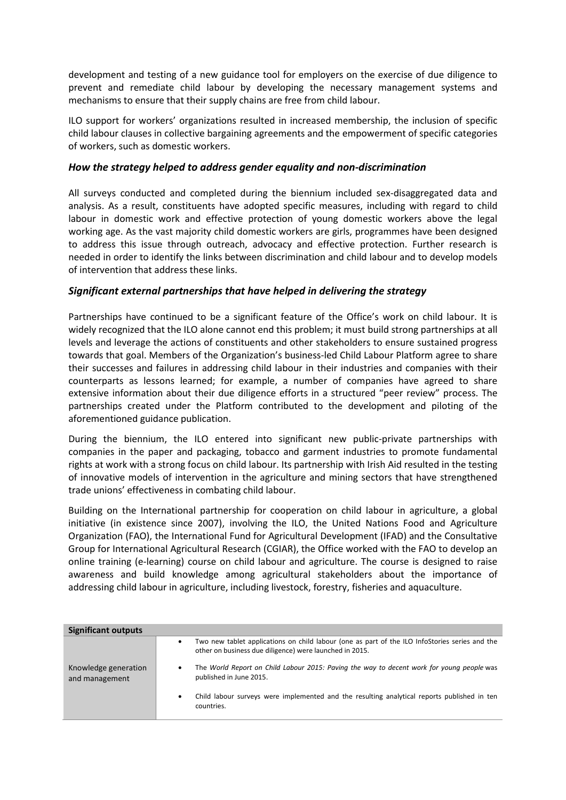development and testing of a new guidance tool for employers on the exercise of due diligence to prevent and remediate child labour by developing the necessary management systems and mechanisms to ensure that their supply chains are free from child labour.

ILO support for workers' organizations resulted in increased membership, the inclusion of specific child labour clauses in collective bargaining agreements and the empowerment of specific categories of workers, such as domestic workers.

### *How the strategy helped to address gender equality and non-discrimination*

All surveys conducted and completed during the biennium included sex-disaggregated data and analysis. As a result, constituents have adopted specific measures, including with regard to child labour in domestic work and effective protection of young domestic workers above the legal working age. As the vast majority child domestic workers are girls, programmes have been designed to address this issue through outreach, advocacy and effective protection. Further research is needed in order to identify the links between discrimination and child labour and to develop models of intervention that address these links.

#### *Significant external partnerships that have helped in delivering the strategy*

Partnerships have continued to be a significant feature of the Office's work on child labour. It is widely recognized that the ILO alone cannot end this problem; it must build strong partnerships at all levels and leverage the actions of constituents and other stakeholders to ensure sustained progress towards that goal. Members of the Organization's business-led Child Labour Platform agree to share their successes and failures in addressing child labour in their industries and companies with their counterparts as lessons learned; for example, a number of companies have agreed to share extensive information about their due diligence efforts in a structured "peer review" process. The partnerships created under the Platform contributed to the development and piloting of the aforementioned guidance publication.

During the biennium, the ILO entered into significant new public-private partnerships with companies in the paper and packaging, tobacco and garment industries to promote fundamental rights at work with a strong focus on child labour. Its partnership with Irish Aid resulted in the testing of innovative models of intervention in the agriculture and mining sectors that have strengthened trade unions' effectiveness in combating child labour.

Building on the International partnership for cooperation on child labour in agriculture, a global initiative (in existence since 2007), involving the ILO, the United Nations Food and Agriculture Organization (FAO), the International Fund for Agricultural Development (IFAD) and the Consultative Group for International Agricultural Research (CGIAR), the Office worked with the FAO to develop an online training (e-learning) course on child labour and agriculture. The course is designed to raise awareness and build knowledge among agricultural stakeholders about the importance of addressing child labour in agriculture, including livestock, forestry, fisheries and aquaculture.

| <b>Significant outputs</b>             |                                                                                                                                                                        |
|----------------------------------------|------------------------------------------------------------------------------------------------------------------------------------------------------------------------|
|                                        | Two new tablet applications on child labour (one as part of the ILO InfoStories series and the<br>$\bullet$<br>other on business due diligence) were launched in 2015. |
| Knowledge generation<br>and management | The World Report on Child Labour 2015: Paving the way to decent work for young people was<br>٠<br>published in June 2015.                                              |
|                                        | Child labour surveys were implemented and the resulting analytical reports published in ten<br>$\bullet$<br>countries.                                                 |